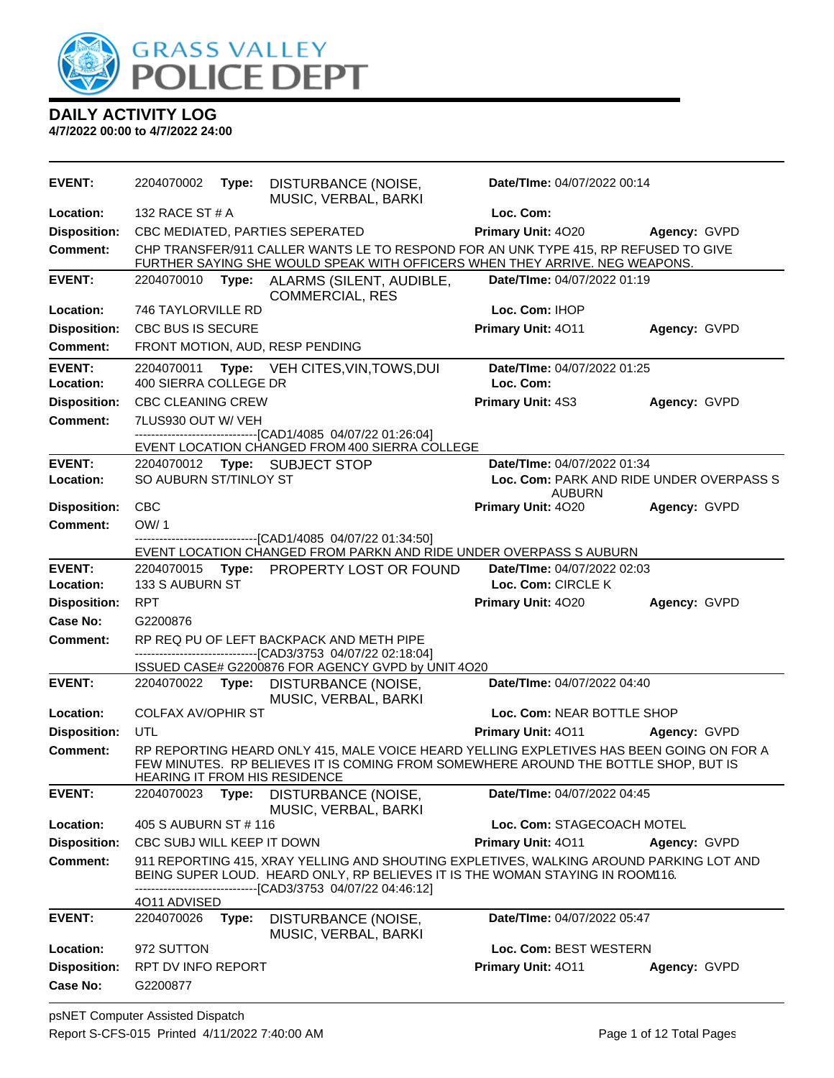

| <b>EVENT:</b>       | 2204070002                 | Type: | <b>DISTURBANCE (NOISE,</b><br>MUSIC, VERBAL, BARKI                                                                                                                                                                      | Date/TIme: 04/07/2022 00:14              |              |
|---------------------|----------------------------|-------|-------------------------------------------------------------------------------------------------------------------------------------------------------------------------------------------------------------------------|------------------------------------------|--------------|
| Location:           | 132 RACE ST # A            |       |                                                                                                                                                                                                                         | Loc. Com:                                |              |
| <b>Disposition:</b> |                            |       | CBC MEDIATED, PARTIES SEPERATED                                                                                                                                                                                         | Primary Unit: 4020                       | Agency: GVPD |
| Comment:            |                            |       | CHP TRANSFER/911 CALLER WANTS LE TO RESPOND FOR AN UNK TYPE 415, RP REFUSED TO GIVE<br>FURTHER SAYING SHE WOULD SPEAK WITH OFFICERS WHEN THEY ARRIVE. NEG WEAPONS.                                                      |                                          |              |
| <b>EVENT:</b>       | 2204070010                 |       | Type: ALARMS (SILENT, AUDIBLE,<br><b>COMMERCIAL, RES</b>                                                                                                                                                                | Date/TIme: 04/07/2022 01:19              |              |
| Location:           | 746 TAYLORVILLE RD         |       |                                                                                                                                                                                                                         | Loc. Com: IHOP                           |              |
| <b>Disposition:</b> | CBC BUS IS SECURE          |       |                                                                                                                                                                                                                         | Primary Unit: 4011                       | Agency: GVPD |
| Comment:            |                            |       | FRONT MOTION, AUD, RESP PENDING                                                                                                                                                                                         |                                          |              |
| <b>EVENT:</b>       | 2204070011                 |       | Type: VEH CITES, VIN, TOWS, DUI                                                                                                                                                                                         | Date/TIme: 04/07/2022 01:25              |              |
| Location:           | 400 SIERRA COLLEGE DR      |       |                                                                                                                                                                                                                         | Loc. Com:                                |              |
| <b>Disposition:</b> | <b>CBC CLEANING CREW</b>   |       |                                                                                                                                                                                                                         | Primary Unit: 4S3                        | Agency: GVPD |
| <b>Comment:</b>     | 7LUS930 OUT W/ VEH         |       |                                                                                                                                                                                                                         |                                          |              |
|                     |                            |       | -------------------------------[CAD1/4085 04/07/22 01:26:04]<br>EVENT LOCATION CHANGED FROM 400 SIERRA COLLEGE                                                                                                          |                                          |              |
| <b>EVENT:</b>       |                            |       | 2204070012 Type: SUBJECT STOP                                                                                                                                                                                           | Date/TIme: 04/07/2022 01:34              |              |
| Location:           | SO AUBURN ST/TINLOY ST     |       |                                                                                                                                                                                                                         | Loc. Com: PARK AND RIDE UNDER OVERPASS S |              |
| <b>Disposition:</b> | <b>CBC</b>                 |       |                                                                                                                                                                                                                         | <b>AUBURN</b><br>Primary Unit: 4020      | Agency: GVPD |
| <b>Comment:</b>     | OW/1                       |       |                                                                                                                                                                                                                         |                                          |              |
|                     |                            |       | ----------------[CAD1/4085 04/07/22 01:34:50]<br>EVENT LOCATION CHANGED FROM PARKN AND RIDE UNDER OVERPASS S AUBURN                                                                                                     |                                          |              |
| <b>EVENT:</b>       |                            |       | 2204070015 Type: PROPERTY LOST OR FOUND                                                                                                                                                                                 | Date/TIme: 04/07/2022 02:03              |              |
| Location:           | 133 S AUBURN ST            |       |                                                                                                                                                                                                                         | Loc. Com: CIRCLE K                       |              |
| <b>Disposition:</b> | <b>RPT</b>                 |       |                                                                                                                                                                                                                         | Primary Unit: 4020                       | Agency: GVPD |
| Case No:            | G2200876                   |       |                                                                                                                                                                                                                         |                                          |              |
| <b>Comment:</b>     |                            |       | RP REQ PU OF LEFT BACKPACK AND METH PIPE                                                                                                                                                                                |                                          |              |
|                     |                            |       | -------------------------------[CAD3/3753 04/07/22 02:18:04]<br>ISSUED CASE# G2200876 FOR AGENCY GVPD by UNIT 4O20                                                                                                      |                                          |              |
| <b>EVENT:</b>       |                            |       | 2204070022 Type: DISTURBANCE (NOISE,<br>MUSIC, VERBAL, BARKI                                                                                                                                                            | Date/TIme: 04/07/2022 04:40              |              |
| <b>Location:</b>    | <b>COLFAX AV/OPHIR ST</b>  |       |                                                                                                                                                                                                                         | Loc. Com: NEAR BOTTLE SHOP               |              |
| <b>Disposition:</b> | UTL                        |       |                                                                                                                                                                                                                         | Primary Unit: 4011                       | Agency: GVPD |
| <b>Comment:</b>     |                            |       | RP REPORTING HEARD ONLY 415, MALE VOICE HEARD YELLING EXPLETIVES HAS BEEN GOING ON FOR A<br>FEW MINUTES. RP BELIEVES IT IS COMING FROM SOMEWHERE AROUND THE BOTTLE SHOP, BUT IS<br><b>HEARING IT FROM HIS RESIDENCE</b> |                                          |              |
| <b>EVENT:</b>       | 2204070023                 | Type: | DISTURBANCE (NOISE,<br>MUSIC, VERBAL, BARKI                                                                                                                                                                             | Date/TIme: 04/07/2022 04:45              |              |
| Location:           | 405 S AUBURN ST # 116      |       |                                                                                                                                                                                                                         | Loc. Com: STAGECOACH MOTEL               |              |
| <b>Disposition:</b> | CBC SUBJ WILL KEEP IT DOWN |       |                                                                                                                                                                                                                         | Primary Unit: 4011                       | Agency: GVPD |
| <b>Comment:</b>     |                            |       | 911 REPORTING 415, XRAY YELLING AND SHOUTING EXPLETIVES, WALKING AROUND PARKING LOT AND<br>BEING SUPER LOUD. HEARD ONLY, RP BELIEVES IT IS THE WOMAN STAYING IN ROOM116.<br>--------[CAD3/3753_04/07/22_04:46:12]       |                                          |              |
|                     | 4011 ADVISED               |       |                                                                                                                                                                                                                         |                                          |              |
| <b>EVENT:</b>       | 2204070026                 | Type: | DISTURBANCE (NOISE,<br>MUSIC, VERBAL, BARKI                                                                                                                                                                             | Date/TIme: 04/07/2022 05:47              |              |
| Location:           | 972 SUTTON                 |       |                                                                                                                                                                                                                         | Loc. Com: BEST WESTERN                   |              |
| <b>Disposition:</b> | RPT DV INFO REPORT         |       |                                                                                                                                                                                                                         | Primary Unit: 4011                       | Agency: GVPD |
| <b>Case No:</b>     | G2200877                   |       |                                                                                                                                                                                                                         |                                          |              |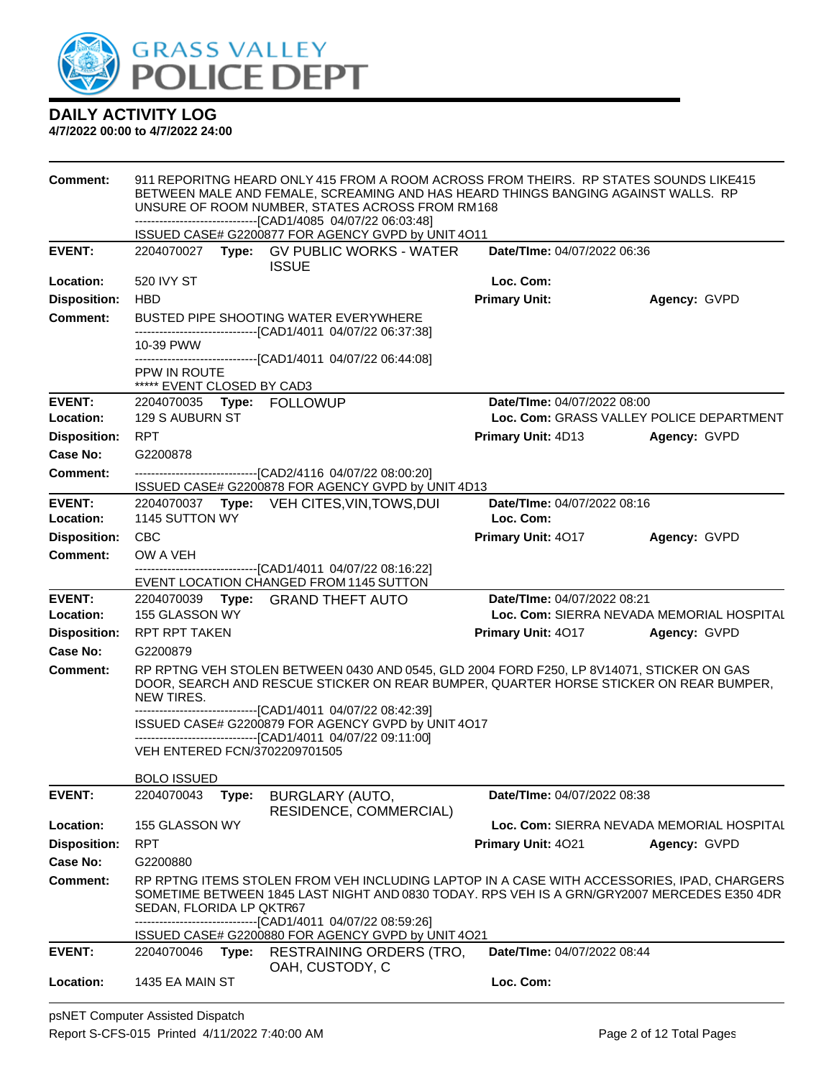

| <b>Comment:</b>            | 911 REPORITNG HEARD ONLY 415 FROM A ROOM ACROSS FROM THEIRS. RP STATES SOUNDS LIKE415<br>BETWEEN MALE AND FEMALE, SCREAMING AND HAS HEARD THINGS BANGING AGAINST WALLS. RP<br>UNSURE OF ROOM NUMBER, STATES ACROSS FROM RM168<br>-------------------------------[CAD1/4085 04/07/22 06:03:48]<br>ISSUED CASE# G2200877 FOR AGENCY GVPD by UNIT 4O11 |                                                                                                                                                                                                                                                          |                             |                                           |  |
|----------------------------|-----------------------------------------------------------------------------------------------------------------------------------------------------------------------------------------------------------------------------------------------------------------------------------------------------------------------------------------------------|----------------------------------------------------------------------------------------------------------------------------------------------------------------------------------------------------------------------------------------------------------|-----------------------------|-------------------------------------------|--|
| <b>EVENT:</b>              |                                                                                                                                                                                                                                                                                                                                                     | 2204070027 Type: GV PUBLIC WORKS - WATER                                                                                                                                                                                                                 | Date/TIme: 04/07/2022 06:36 |                                           |  |
|                            |                                                                                                                                                                                                                                                                                                                                                     | <b>ISSUE</b>                                                                                                                                                                                                                                             |                             |                                           |  |
| Location:                  | 520 IVY ST                                                                                                                                                                                                                                                                                                                                          |                                                                                                                                                                                                                                                          | Loc. Com:                   |                                           |  |
| <b>Disposition:</b>        | <b>HBD</b>                                                                                                                                                                                                                                                                                                                                          |                                                                                                                                                                                                                                                          | <b>Primary Unit:</b>        | Agency: GVPD                              |  |
| <b>Comment:</b>            |                                                                                                                                                                                                                                                                                                                                                     | <b>BUSTED PIPE SHOOTING WATER EVERYWHERE</b><br>-------------------------------[CAD1/4011 04/07/22 06:37:38]                                                                                                                                             |                             |                                           |  |
|                            | 10-39 PWW                                                                                                                                                                                                                                                                                                                                           |                                                                                                                                                                                                                                                          |                             |                                           |  |
|                            | PPW IN ROUTE                                                                                                                                                                                                                                                                                                                                        | ------------------------------[CAD1/4011_04/07/22_06:44:08]                                                                                                                                                                                              |                             |                                           |  |
|                            | ***** EVENT CLOSED BY CAD3                                                                                                                                                                                                                                                                                                                          |                                                                                                                                                                                                                                                          |                             |                                           |  |
| <b>EVENT:</b>              | 2204070035 Type: FOLLOWUP                                                                                                                                                                                                                                                                                                                           |                                                                                                                                                                                                                                                          | Date/TIme: 04/07/2022 08:00 |                                           |  |
| Location:                  | <b>129 S AUBURN ST</b>                                                                                                                                                                                                                                                                                                                              |                                                                                                                                                                                                                                                          |                             | Loc. Com: GRASS VALLEY POLICE DEPARTMENT  |  |
| <b>Disposition:</b>        | <b>RPT</b>                                                                                                                                                                                                                                                                                                                                          |                                                                                                                                                                                                                                                          | <b>Primary Unit: 4D13</b>   | Agency: GVPD                              |  |
| <b>Case No:</b>            | G2200878                                                                                                                                                                                                                                                                                                                                            |                                                                                                                                                                                                                                                          |                             |                                           |  |
| Comment:                   |                                                                                                                                                                                                                                                                                                                                                     | -------------------------------[CAD2/4116 04/07/22 08:00:20]<br>ISSUED CASE# G2200878 FOR AGENCY GVPD by UNIT 4D13                                                                                                                                       |                             |                                           |  |
| <b>EVENT:</b>              |                                                                                                                                                                                                                                                                                                                                                     | 2204070037 Type: VEH CITES, VIN, TOWS, DUI                                                                                                                                                                                                               | Date/TIme: 04/07/2022 08:16 |                                           |  |
| Location:                  | 1145 SUTTON WY                                                                                                                                                                                                                                                                                                                                      |                                                                                                                                                                                                                                                          | Loc. Com:                   |                                           |  |
| <b>Disposition:</b>        | <b>CBC</b>                                                                                                                                                                                                                                                                                                                                          |                                                                                                                                                                                                                                                          | Primary Unit: 4017          | Agency: GVPD                              |  |
| <b>Comment:</b>            | OW A VEH                                                                                                                                                                                                                                                                                                                                            | -------------------------------[CAD1/4011_04/07/22_08:16:22]                                                                                                                                                                                             |                             |                                           |  |
|                            |                                                                                                                                                                                                                                                                                                                                                     | EVENT LOCATION CHANGED FROM 1145 SUTTON                                                                                                                                                                                                                  |                             |                                           |  |
| <b>EVENT:</b><br>Location: | 155 GLASSON WY                                                                                                                                                                                                                                                                                                                                      | 2204070039 Type: GRAND THEFT AUTO                                                                                                                                                                                                                        | Date/TIme: 04/07/2022 08:21 | Loc. Com: SIERRA NEVADA MEMORIAL HOSPITAL |  |
| <b>Disposition:</b>        | <b>RPT RPT TAKEN</b>                                                                                                                                                                                                                                                                                                                                |                                                                                                                                                                                                                                                          | <b>Primary Unit: 4017</b>   | Agency: GVPD                              |  |
| <b>Case No:</b>            | G2200879                                                                                                                                                                                                                                                                                                                                            |                                                                                                                                                                                                                                                          |                             |                                           |  |
| Comment:                   | NEW TIRES.                                                                                                                                                                                                                                                                                                                                          | RP RPTNG VEH STOLEN BETWEEN 0430 AND 0545, GLD 2004 FORD F250, LP 8V14071, STICKER ON GAS<br>DOOR, SEARCH AND RESCUE STICKER ON REAR BUMPER, QUARTER HORSE STICKER ON REAR BUMPER,<br>---------------------------------[CAD1/4011 04/07/22 08:42:39]     |                             |                                           |  |
|                            |                                                                                                                                                                                                                                                                                                                                                     | ISSUED CASE# G2200879 FOR AGENCY GVPD by UNIT 4O17                                                                                                                                                                                                       |                             |                                           |  |
|                            | VEH ENTERED FCN/3702209701505                                                                                                                                                                                                                                                                                                                       | -------------------------------[CAD1/4011 04/07/22 09:11:00]                                                                                                                                                                                             |                             |                                           |  |
|                            | <b>BOLO ISSUED</b>                                                                                                                                                                                                                                                                                                                                  |                                                                                                                                                                                                                                                          |                             |                                           |  |
| <b>EVENT:</b>              | 2204070043<br>Type:                                                                                                                                                                                                                                                                                                                                 | BURGLARY (AUTO,<br>RESIDENCE, COMMERCIAL)                                                                                                                                                                                                                | Date/TIme: 04/07/2022 08:38 |                                           |  |
| Location:                  | 155 GLASSON WY                                                                                                                                                                                                                                                                                                                                      |                                                                                                                                                                                                                                                          |                             | Loc. Com: SIERRA NEVADA MEMORIAL HOSPITAL |  |
| <b>Disposition:</b>        | <b>RPT</b>                                                                                                                                                                                                                                                                                                                                          |                                                                                                                                                                                                                                                          | Primary Unit: 4021          | Agency: GVPD                              |  |
| Case No:                   | G2200880                                                                                                                                                                                                                                                                                                                                            |                                                                                                                                                                                                                                                          |                             |                                           |  |
| <b>Comment:</b>            | SEDAN, FLORIDA LP QKTR67                                                                                                                                                                                                                                                                                                                            | RP RPTNG ITEMS STOLEN FROM VEH INCLUDING LAPTOP IN A CASE WITH ACCESSORIES, IPAD, CHARGERS<br>SOMETIME BETWEEN 1845 LAST NIGHT AND 0830 TODAY. RPS VEH IS A GRN/GRY2007 MERCEDES E350 4DR<br>------------------------------[CAD1/4011 04/07/22 08:59:26] |                             |                                           |  |
|                            |                                                                                                                                                                                                                                                                                                                                                     | ISSUED CASE# G2200880 FOR AGENCY GVPD by UNIT 4O21                                                                                                                                                                                                       |                             |                                           |  |
| <b>EVENT:</b>              | 2204070046<br>Type:                                                                                                                                                                                                                                                                                                                                 | <b>RESTRAINING ORDERS (TRO,</b><br>OAH, CUSTODY, C                                                                                                                                                                                                       | Date/TIme: 04/07/2022 08:44 |                                           |  |
| Location:                  | 1435 EA MAIN ST                                                                                                                                                                                                                                                                                                                                     |                                                                                                                                                                                                                                                          | Loc. Com:                   |                                           |  |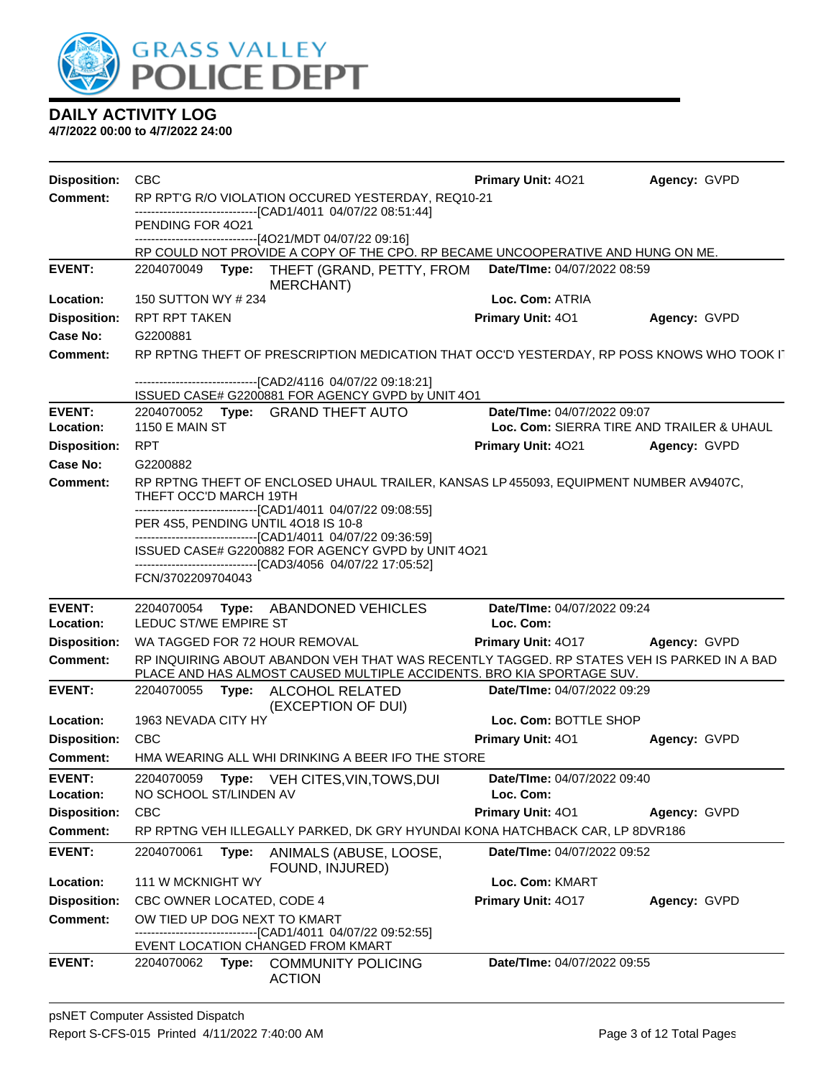

| <b>Disposition:</b>         | <b>CBC</b>                |                                                                                                                    | Primary Unit: 4021                                                                                                                                                 | Agency: GVPD                              |
|-----------------------------|---------------------------|--------------------------------------------------------------------------------------------------------------------|--------------------------------------------------------------------------------------------------------------------------------------------------------------------|-------------------------------------------|
| <b>Comment:</b>             |                           | RP RPT'G R/O VIOLATION OCCURED YESTERDAY, REQ10-21                                                                 |                                                                                                                                                                    |                                           |
|                             | PENDING FOR 4021          | ------------------------[CAD1/4011 04/07/22 08:51:44]                                                              |                                                                                                                                                                    |                                           |
|                             |                           | ------------------------------[4O21/MDT 04/07/22 09:16]                                                            | RP COULD NOT PROVIDE A COPY OF THE CPO. RP BECAME UNCOOPERATIVE AND HUNG ON ME.                                                                                    |                                           |
| <b>EVENT:</b>               |                           |                                                                                                                    | 2204070049 Type: THEFT (GRAND, PETTY, FROM Date/Time: 04/07/2022 08:59                                                                                             |                                           |
|                             |                           | <b>MERCHANT)</b>                                                                                                   |                                                                                                                                                                    |                                           |
| Location:                   | 150 SUTTON WY # 234       |                                                                                                                    | Loc. Com: ATRIA                                                                                                                                                    |                                           |
| <b>Disposition:</b>         | RPT RPT TAKEN             |                                                                                                                    | Primary Unit: 401                                                                                                                                                  | Agency: GVPD                              |
| <b>Case No:</b>             | G2200881                  |                                                                                                                    |                                                                                                                                                                    |                                           |
| Comment:                    |                           |                                                                                                                    | RP RPTNG THEFT OF PRESCRIPTION MEDICATION THAT OCC'D YESTERDAY, RP POSS KNOWS WHO TOOK IT                                                                          |                                           |
|                             |                           | ------------------------------[CAD2/4116_04/07/22_09:18:21]<br>ISSUED CASE# G2200881 FOR AGENCY GVPD by UNIT 4O1   |                                                                                                                                                                    |                                           |
| <b>EVENT:</b>               |                           | 2204070052 Type: GRAND THEFT AUTO                                                                                  | Date/TIme: 04/07/2022 09:07                                                                                                                                        |                                           |
| Location:                   | <b>1150 E MAIN ST</b>     |                                                                                                                    |                                                                                                                                                                    | Loc. Com: SIERRA TIRE AND TRAILER & UHAUL |
| <b>Disposition:</b>         | <b>RPT</b>                |                                                                                                                    | <b>Primary Unit: 4021</b>                                                                                                                                          | Agency: GVPD                              |
| Case No:                    | G2200882                  |                                                                                                                    |                                                                                                                                                                    |                                           |
| Comment:                    | THEFT OCC'D MARCH 19TH    |                                                                                                                    | RP RPTNG THEFT OF ENCLOSED UHAUL TRAILER, KANSAS LP 455093, EQUIPMENT NUMBER AV9407C,                                                                              |                                           |
|                             |                           | -------------------------------[CAD1/4011_04/07/22_09:08:55]<br>PER 4S5, PENDING UNTIL 4018 IS 10-8                |                                                                                                                                                                    |                                           |
|                             |                           | -------------------------------[CAD1/4011 04/07/22 09:36:59]<br>ISSUED CASE# G2200882 FOR AGENCY GVPD by UNIT 4O21 |                                                                                                                                                                    |                                           |
|                             | FCN/3702209704043         | -------------------------------[CAD3/4056_04/07/22 17:05:52]                                                       |                                                                                                                                                                    |                                           |
| <b>EVENT:</b>               | 2204070054 Type:          | ABANDONED VEHICLES                                                                                                 | Date/TIme: 04/07/2022 09:24                                                                                                                                        |                                           |
| Location:                   | LEDUC ST/WE EMPIRE ST     |                                                                                                                    | Loc. Com:                                                                                                                                                          |                                           |
| <b>Disposition:</b>         |                           | WA TAGGED FOR 72 HOUR REMOVAL                                                                                      | <b>Primary Unit: 4017</b>                                                                                                                                          | Agency: GVPD                              |
| <b>Comment:</b>             |                           |                                                                                                                    | RP INQUIRING ABOUT ABANDON VEH THAT WAS RECENTLY TAGGED. RP STATES VEH IS PARKED IN A BAD<br>PLACE AND HAS ALMOST CAUSED MULTIPLE ACCIDENTS. BRO KIA SPORTAGE SUV. |                                           |
| <b>EVENT:</b>               |                           | 2204070055 Type: ALCOHOL RELATED<br>(EXCEPTION OF DUI)                                                             | Date/TIme: 04/07/2022 09:29                                                                                                                                        |                                           |
| Location:                   | 1963 NEVADA CITY HY       |                                                                                                                    | Loc. Com: BOTTLE SHOP                                                                                                                                              |                                           |
| <b>Disposition:</b>         | <b>CBC</b>                |                                                                                                                    | Primary Unit: 401                                                                                                                                                  | Agency: GVPD                              |
| <b>Comment:</b>             |                           | HMA WEARING ALL WHI DRINKING A BEER IFO THE STORE                                                                  |                                                                                                                                                                    |                                           |
| <b>EVENT:</b>               |                           | 2204070059 Type: VEH CITES, VIN, TOWS, DUI                                                                         | Date/TIme: 04/07/2022 09:40                                                                                                                                        |                                           |
| Location:                   | NO SCHOOL ST/LINDEN AV    |                                                                                                                    | Loc. Com:                                                                                                                                                          |                                           |
| <b>Disposition:</b>         | <b>CBC</b>                |                                                                                                                    | Primary Unit: 401                                                                                                                                                  | Agency: GVPD                              |
| <b>Comment:</b>             |                           |                                                                                                                    | RP RPTNG VEH ILLEGALLY PARKED, DK GRY HYUNDAI KONA HATCHBACK CAR, LP 8DVR186                                                                                       |                                           |
| <b>EVENT:</b>               | 2204070061                | Type:<br>ANIMALS (ABUSE, LOOSE,<br>FOUND, INJURED)                                                                 | Date/TIme: 04/07/2022 09:52                                                                                                                                        |                                           |
| Location:                   | 111 W MCKNIGHT WY         |                                                                                                                    | Loc. Com: KMART                                                                                                                                                    |                                           |
| <b>Disposition:</b>         | CBC OWNER LOCATED, CODE 4 |                                                                                                                    | Primary Unit: 4017                                                                                                                                                 | Agency: GVPD                              |
| <b>Comment:</b>             |                           | OW TIED UP DOG NEXT TO KMART<br>---------------[CAD1/4011_04/07/22_09:52:55]<br>EVENT LOCATION CHANGED FROM KMART  |                                                                                                                                                                    |                                           |
| <b>EVENT:</b><br>2204070062 |                           |                                                                                                                    |                                                                                                                                                                    |                                           |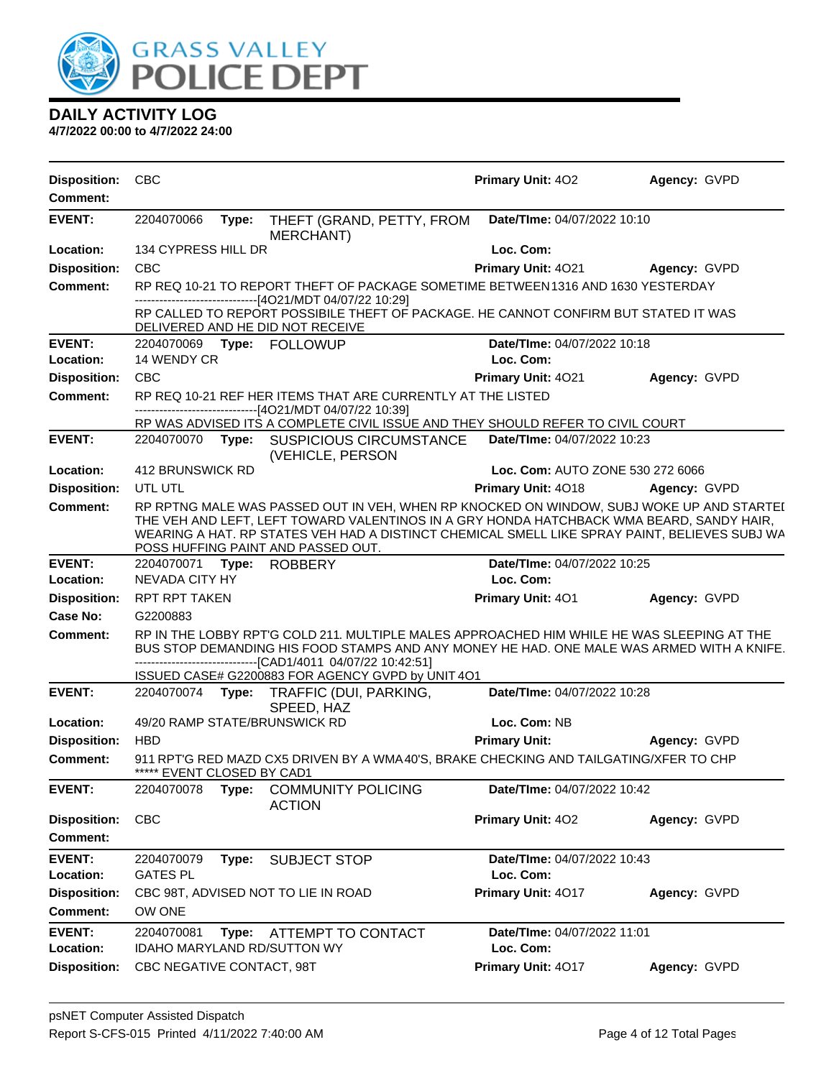

| <b>Disposition:</b>                    | <b>CBC</b>                         |       |                                                                                                                                                                                                                                                                                                                             | Primary Unit: 402                        | Agency: GVPD        |
|----------------------------------------|------------------------------------|-------|-----------------------------------------------------------------------------------------------------------------------------------------------------------------------------------------------------------------------------------------------------------------------------------------------------------------------------|------------------------------------------|---------------------|
| <b>Comment:</b>                        |                                    |       |                                                                                                                                                                                                                                                                                                                             |                                          |                     |
| <b>EVENT:</b>                          | 2204070066                         | Type: | THEFT (GRAND, PETTY, FROM<br><b>MERCHANT)</b>                                                                                                                                                                                                                                                                               | <b>Date/TIme: 04/07/2022 10:10</b>       |                     |
| Location:                              | 134 CYPRESS HILL DR                |       |                                                                                                                                                                                                                                                                                                                             | Loc. Com:                                |                     |
| <b>Disposition:</b>                    | <b>CBC</b>                         |       |                                                                                                                                                                                                                                                                                                                             | <b>Primary Unit: 4021</b>                | <b>Agency: GVPD</b> |
| <b>Comment:</b>                        |                                    |       | RP REQ 10-21 TO REPORT THEFT OF PACKAGE SOMETIME BETWEEN 1316 AND 1630 YESTERDAY                                                                                                                                                                                                                                            |                                          |                     |
|                                        |                                    |       | ------------------------------[4O21/MDT 04/07/22 10:29]<br>RP CALLED TO REPORT POSSIBILE THEFT OF PACKAGE. HE CANNOT CONFIRM BUT STATED IT WAS<br>DELIVERED AND HE DID NOT RECEIVE                                                                                                                                          |                                          |                     |
| <b>EVENT:</b>                          |                                    |       | 2204070069 Type: FOLLOWUP                                                                                                                                                                                                                                                                                                   | Date/TIme: 04/07/2022 10:18              |                     |
| Location:                              | 14 WENDY CR                        |       |                                                                                                                                                                                                                                                                                                                             | Loc. Com:                                |                     |
| <b>Disposition:</b>                    | <b>CBC</b>                         |       |                                                                                                                                                                                                                                                                                                                             | Primary Unit: 4021                       | Agency: GVPD        |
| <b>Comment:</b>                        |                                    |       | RP REQ 10-21 REF HER ITEMS THAT ARE CURRENTLY AT THE LISTED                                                                                                                                                                                                                                                                 |                                          |                     |
|                                        |                                    |       | -------------------------------[4O21/MDT 04/07/22 10:39]<br>RP WAS ADVISED ITS A COMPLETE CIVIL ISSUE AND THEY SHOULD REFER TO CIVIL COURT                                                                                                                                                                                  |                                          |                     |
| <b>EVENT:</b>                          |                                    |       | 2204070070 Type: SUSPICIOUS CIRCUMSTANCE<br>(VEHICLE, PERSON                                                                                                                                                                                                                                                                | Date/TIme: 04/07/2022 10:23              |                     |
| Location:                              | 412 BRUNSWICK RD                   |       |                                                                                                                                                                                                                                                                                                                             | Loc. Com: AUTO ZONE 530 272 6066         |                     |
| <b>Disposition:</b>                    | UTL UTL                            |       |                                                                                                                                                                                                                                                                                                                             | Primary Unit: 4018                       | Agency: GVPD        |
| <b>Comment:</b>                        |                                    |       | RP RPTNG MALE WAS PASSED OUT IN VEH, WHEN RP KNOCKED ON WINDOW, SUBJ WOKE UP AND STARTEI<br>THE VEH AND LEFT, LEFT TOWARD VALENTINOS IN A GRY HONDA HATCHBACK WMA BEARD, SANDY HAIR,<br>WEARING A HAT. RP STATES VEH HAD A DISTINCT CHEMICAL SMELL LIKE SPRAY PAINT, BELIEVES SUBJ WA<br>POSS HUFFING PAINT AND PASSED OUT. |                                          |                     |
| <b>EVENT:</b>                          | 2204070071 Type: ROBBERY           |       |                                                                                                                                                                                                                                                                                                                             | Date/TIme: 04/07/2022 10:25              |                     |
| Location:                              | <b>NEVADA CITY HY</b>              |       |                                                                                                                                                                                                                                                                                                                             | Loc. Com:                                |                     |
| <b>Disposition:</b>                    | <b>RPT RPT TAKEN</b>               |       |                                                                                                                                                                                                                                                                                                                             | <b>Primary Unit: 401</b>                 | Agency: GVPD        |
| Case No:                               | G2200883                           |       |                                                                                                                                                                                                                                                                                                                             |                                          |                     |
| Comment:                               |                                    |       | RP IN THE LOBBY RPT'G COLD 211. MULTIPLE MALES APPROACHED HIM WHILE HE WAS SLEEPING AT THE<br>BUS STOP DEMANDING HIS FOOD STAMPS AND ANY MONEY HE HAD. ONE MALE WAS ARMED WITH A KNIFE.<br>-------------------------------[CAD1/4011 04/07/22 10:42:51]                                                                     |                                          |                     |
|                                        |                                    |       | ISSUED CASE# G2200883 FOR AGENCY GVPD by UNIT 4O1                                                                                                                                                                                                                                                                           |                                          |                     |
| <b>EVENT:</b>                          |                                    |       | 2204070074 Type: TRAFFIC (DUI, PARKING,<br>SPEED, HAZ                                                                                                                                                                                                                                                                       | Date/TIme: 04/07/2022 10:28              |                     |
| Location:                              |                                    |       | 49/20 RAMP STATE/BRUNSWICK RD                                                                                                                                                                                                                                                                                               | Loc. Com: NB                             |                     |
| <b>Disposition:</b>                    | <b>HBD</b>                         |       |                                                                                                                                                                                                                                                                                                                             | <b>Primary Unit:</b>                     | Agency: GVPD        |
| Comment:                               | ***** EVENT CLOSED BY CAD1         |       | 911 RPT'G RED MAZD CX5 DRIVEN BY A WMA40'S, BRAKE CHECKING AND TAILGATING/XFER TO CHP                                                                                                                                                                                                                                       |                                          |                     |
| <b>EVENT:</b>                          | 2204070078                         | Type: | <b>COMMUNITY POLICING</b><br><b>ACTION</b>                                                                                                                                                                                                                                                                                  | Date/TIme: 04/07/2022 10:42              |                     |
| <b>Disposition:</b><br><b>Comment:</b> | <b>CBC</b>                         |       |                                                                                                                                                                                                                                                                                                                             | Primary Unit: 402                        | Agency: GVPD        |
| <b>EVENT:</b>                          |                                    |       |                                                                                                                                                                                                                                                                                                                             |                                          |                     |
| Location:                              | 2204070079<br><b>GATES PL</b>      | Type: | <b>SUBJECT STOP</b>                                                                                                                                                                                                                                                                                                         | Date/TIme: 04/07/2022 10:43<br>Loc. Com: |                     |
| <b>Disposition:</b>                    |                                    |       | CBC 98T, ADVISED NOT TO LIE IN ROAD                                                                                                                                                                                                                                                                                         | Primary Unit: 4017                       | Agency: GVPD        |
| <b>Comment:</b>                        | OW ONE                             |       |                                                                                                                                                                                                                                                                                                                             |                                          |                     |
| <b>EVENT:</b>                          | 2204070081                         | Type: | ATTEMPT TO CONTACT                                                                                                                                                                                                                                                                                                          | Date/TIme: 04/07/2022 11:01              |                     |
| Location:                              | <b>IDAHO MARYLAND RD/SUTTON WY</b> |       |                                                                                                                                                                                                                                                                                                                             | Loc. Com:                                |                     |
| <b>Disposition:</b>                    | CBC NEGATIVE CONTACT, 98T          |       |                                                                                                                                                                                                                                                                                                                             | Primary Unit: 4017                       | Agency: GVPD        |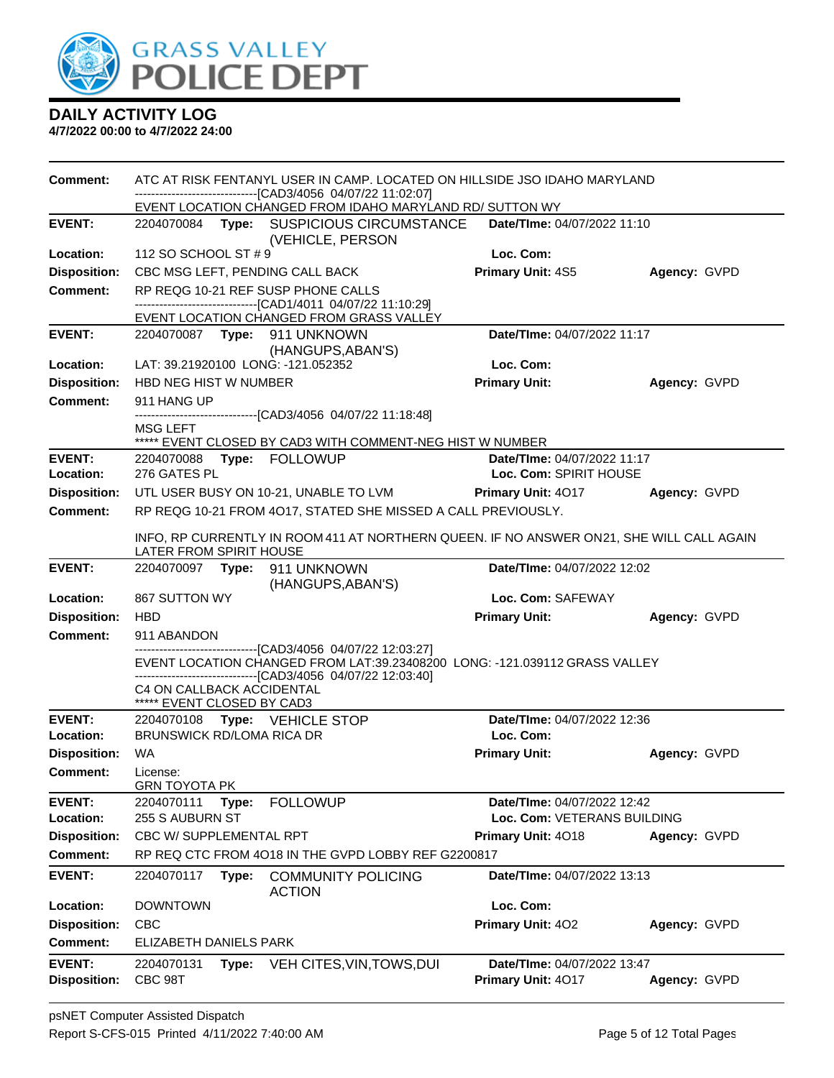

| <b>Comment:</b>                      | ATC AT RISK FENTANYL USER IN CAMP. LOCATED ON HILLSIDE JSO IDAHO MARYLAND<br>-------------------------------[CAD3/4056 04/07/22 11:02:07] |       |                                                                                                                                                                                                           |                                                   |              |
|--------------------------------------|-------------------------------------------------------------------------------------------------------------------------------------------|-------|-----------------------------------------------------------------------------------------------------------------------------------------------------------------------------------------------------------|---------------------------------------------------|--------------|
|                                      |                                                                                                                                           |       | EVENT LOCATION CHANGED FROM IDAHO MARYLAND RD/ SUTTON WY                                                                                                                                                  |                                                   |              |
| <b>EVENT:</b>                        |                                                                                                                                           |       | 2204070084 Type: SUSPICIOUS CIRCUMSTANCE<br>(VEHICLE, PERSON                                                                                                                                              | Date/TIme: 04/07/2022 11:10                       |              |
| Location:                            | 112 SO SCHOOL ST # 9                                                                                                                      |       |                                                                                                                                                                                                           | Loc. Com:                                         |              |
| <b>Disposition:</b>                  | CBC MSG LEFT, PENDING CALL BACK                                                                                                           |       |                                                                                                                                                                                                           | <b>Primary Unit: 4S5</b>                          | Agency: GVPD |
| <b>Comment:</b>                      |                                                                                                                                           |       | RP REQG 10-21 REF SUSP PHONE CALLS                                                                                                                                                                        |                                                   |              |
|                                      |                                                                                                                                           |       | ------------------------[CAD1/4011 04/07/22 11:10:29]<br>EVENT LOCATION CHANGED FROM GRASS VALLEY                                                                                                         |                                                   |              |
| <b>EVENT:</b>                        |                                                                                                                                           |       | 2204070087    Type: 911    UNKNOWN                                                                                                                                                                        | Date/TIme: 04/07/2022 11:17                       |              |
|                                      |                                                                                                                                           |       | (HANGUPS, ABAN'S)                                                                                                                                                                                         |                                                   |              |
| Location:                            | LAT: 39.21920100 LONG: -121.052352                                                                                                        |       |                                                                                                                                                                                                           | Loc. Com:                                         |              |
| <b>Disposition:</b>                  | <b>HBD NEG HIST W NUMBER</b>                                                                                                              |       |                                                                                                                                                                                                           | <b>Primary Unit:</b>                              | Agency: GVPD |
| <b>Comment:</b>                      | 911 HANG UP                                                                                                                               |       |                                                                                                                                                                                                           |                                                   |              |
|                                      | MSG LEFT                                                                                                                                  |       | -------------------------------[CAD3/4056 04/07/22 11:18:48]                                                                                                                                              |                                                   |              |
|                                      |                                                                                                                                           |       | ***** EVENT CLOSED BY CAD3 WITH COMMENT-NEG HIST W NUMBER                                                                                                                                                 |                                                   |              |
| <b>EVENT:</b>                        | 2204070088 Type: FOLLOWUP                                                                                                                 |       |                                                                                                                                                                                                           | Date/TIme: 04/07/2022 11:17                       |              |
| <b>Location:</b>                     | 276 GATES PL                                                                                                                              |       |                                                                                                                                                                                                           | Loc. Com: SPIRIT HOUSE                            |              |
| <b>Disposition:</b>                  |                                                                                                                                           |       | UTL USER BUSY ON 10-21, UNABLE TO LVM Primary Unit: 4017                                                                                                                                                  |                                                   | Agency: GVPD |
| <b>Comment:</b>                      |                                                                                                                                           |       | RP REQG 10-21 FROM 4017, STATED SHE MISSED A CALL PREVIOUSLY.                                                                                                                                             |                                                   |              |
|                                      | LATER FROM SPIRIT HOUSE                                                                                                                   |       | INFO, RP CURRENTLY IN ROOM 411 AT NORTHERN QUEEN. IF NO ANSWER ON21, SHE WILL CALL AGAIN                                                                                                                  |                                                   |              |
| <b>EVENT:</b>                        |                                                                                                                                           |       | 2204070097    Type: 911    UNKNOWN<br>(HANGUPS, ABAN'S)                                                                                                                                                   | Date/TIme: 04/07/2022 12:02                       |              |
| Location:                            | 867 SUTTON WY                                                                                                                             |       |                                                                                                                                                                                                           | Loc. Com: SAFEWAY                                 |              |
| <b>Disposition:</b>                  | <b>HBD</b>                                                                                                                                |       |                                                                                                                                                                                                           | <b>Primary Unit:</b>                              | Agency: GVPD |
| <b>Comment:</b>                      | 911 ABANDON                                                                                                                               |       |                                                                                                                                                                                                           |                                                   |              |
|                                      | C4 ON CALLBACK ACCIDENTAL<br>***** EVENT CLOSED BY CAD3                                                                                   |       | ------------------------------[CAD3/4056 04/07/22 12:03:27]<br>EVENT LOCATION CHANGED FROM LAT:39.23408200 LONG: -121.039112 GRASS VALLEY<br>-------------------------------[CAD3/4056 04/07/22 12:03:40] |                                                   |              |
| <b>EVENT:</b>                        |                                                                                                                                           |       | 2204070108 Type: VEHICLE STOP                                                                                                                                                                             | Date/TIme: 04/07/2022 12:36                       |              |
| <b>Location:</b>                     | <b>BRUNSWICK RD/LOMA RICA DR</b>                                                                                                          |       |                                                                                                                                                                                                           | Loc. Com:                                         |              |
| <b>Disposition:</b>                  | WA                                                                                                                                        |       |                                                                                                                                                                                                           | <b>Primary Unit:</b>                              | Agency: GVPD |
| Comment:                             | License:<br><b>GRN TOYOTA PK</b>                                                                                                          |       |                                                                                                                                                                                                           |                                                   |              |
| <b>EVENT:</b>                        | 2204070111                                                                                                                                | Type: | <b>FOLLOWUP</b>                                                                                                                                                                                           | Date/TIme: 04/07/2022 12:42                       |              |
| Location:                            | 255 S AUBURN ST                                                                                                                           |       |                                                                                                                                                                                                           | Loc. Com: VETERANS BUILDING                       |              |
| <b>Disposition:</b>                  | CBC W/ SUPPLEMENTAL RPT                                                                                                                   |       |                                                                                                                                                                                                           | Primary Unit: 4018                                | Agency: GVPD |
| <b>Comment:</b>                      |                                                                                                                                           |       | RP REQ CTC FROM 4018 IN THE GVPD LOBBY REF G2200817                                                                                                                                                       |                                                   |              |
| <b>EVENT:</b>                        | 2204070117                                                                                                                                | Type: | <b>COMMUNITY POLICING</b><br><b>ACTION</b>                                                                                                                                                                | Date/TIme: 04/07/2022 13:13                       |              |
| Location:                            | <b>DOWNTOWN</b>                                                                                                                           |       |                                                                                                                                                                                                           | Loc. Com:                                         |              |
| <b>Disposition:</b>                  | <b>CBC</b>                                                                                                                                |       |                                                                                                                                                                                                           | Primary Unit: 402                                 | Agency: GVPD |
| <b>Comment:</b>                      | ELIZABETH DANIELS PARK                                                                                                                    |       |                                                                                                                                                                                                           |                                                   |              |
| <b>EVENT:</b><br><b>Disposition:</b> | 2204070131<br>CBC 98T                                                                                                                     | Type: | VEH CITES, VIN, TOWS, DUI                                                                                                                                                                                 | Date/TIme: 04/07/2022 13:47<br>Primary Unit: 4017 | Agency: GVPD |
|                                      |                                                                                                                                           |       |                                                                                                                                                                                                           |                                                   |              |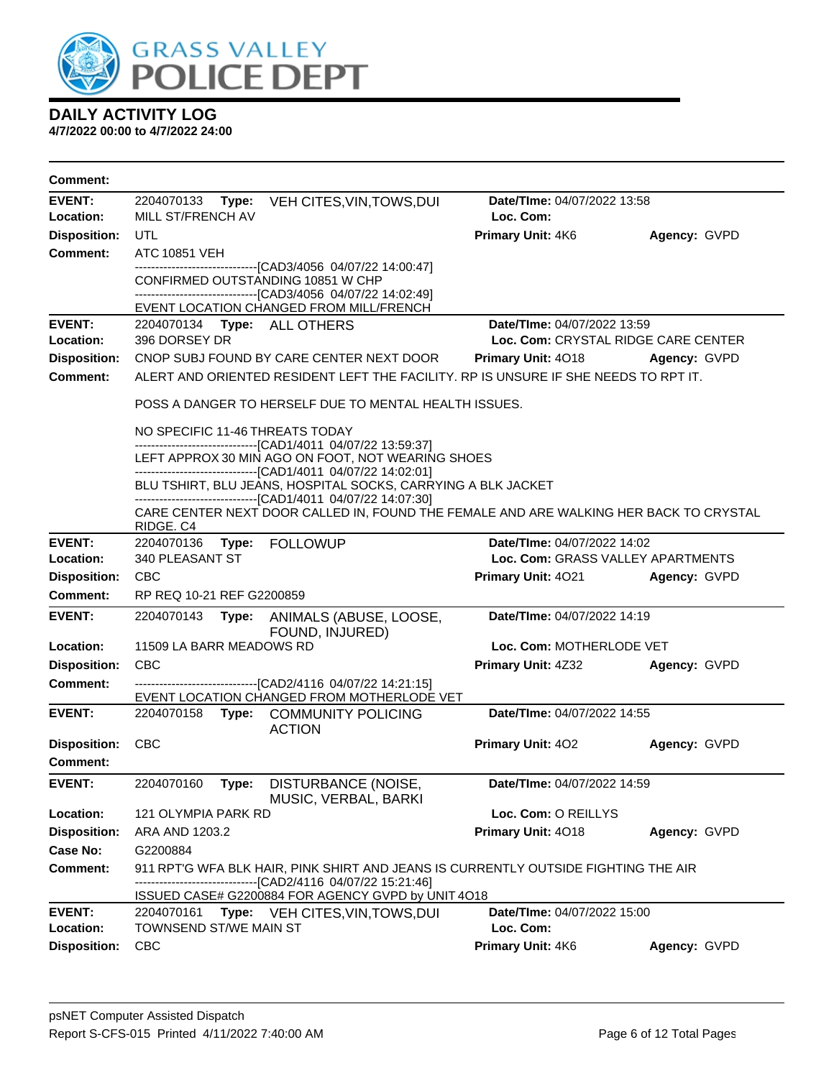

| <b>Comment:</b>            |                                              |       |                                                                                                                             |                                                                    |              |
|----------------------------|----------------------------------------------|-------|-----------------------------------------------------------------------------------------------------------------------------|--------------------------------------------------------------------|--------------|
| <b>EVENT:</b>              |                                              |       | 2204070133 Type: VEH CITES, VIN, TOWS, DUI                                                                                  | Date/TIme: 04/07/2022 13:58                                        |              |
| Location:                  | MILL ST/FRENCH AV                            |       |                                                                                                                             | Loc. Com:                                                          |              |
| <b>Disposition:</b>        | UTL                                          |       |                                                                                                                             | Primary Unit: 4K6                                                  | Agency: GVPD |
| <b>Comment:</b>            | ATC 10851 VEH                                |       |                                                                                                                             |                                                                    |              |
|                            |                                              |       | ---------------------------------[CAD3/4056 04/07/22 14:00:47]<br>CONFIRMED OUTSTANDING 10851 W CHP                         |                                                                    |              |
|                            |                                              |       | ---------------------------------[CAD3/4056_04/07/22_14:02:49]                                                              |                                                                    |              |
|                            |                                              |       | EVENT LOCATION CHANGED FROM MILL/FRENCH                                                                                     |                                                                    |              |
| <b>EVENT:</b><br>Location: | 2204070134 Type: ALL OTHERS<br>396 DORSEY DR |       |                                                                                                                             | Date/TIme: 04/07/2022 13:59<br>Loc. Com: CRYSTAL RIDGE CARE CENTER |              |
| <b>Disposition:</b>        |                                              |       | CNOP SUBJ FOUND BY CARE CENTER NEXT DOOR                                                                                    | <b>Primary Unit: 4018</b>                                          | Agency: GVPD |
| <b>Comment:</b>            |                                              |       | ALERT AND ORIENTED RESIDENT LEFT THE FACILITY. RP IS UNSURE IF SHE NEEDS TO RPT IT.                                         |                                                                    |              |
|                            |                                              |       |                                                                                                                             |                                                                    |              |
|                            |                                              |       | POSS A DANGER TO HERSELF DUE TO MENTAL HEALTH ISSUES.                                                                       |                                                                    |              |
|                            | NO SPECIFIC 11-46 THREATS TODAY              |       |                                                                                                                             |                                                                    |              |
|                            |                                              |       | ------------------------------[CAD1/4011 04/07/22 13:59:37]<br>LEFT APPROX 30 MIN AGO ON FOOT, NOT WEARING SHOES            |                                                                    |              |
|                            |                                              |       | -------------------------------[CAD1/4011 04/07/22 14:02:01]                                                                |                                                                    |              |
|                            |                                              |       | BLU TSHIRT, BLU JEANS, HOSPITAL SOCKS, CARRYING A BLK JACKET<br>------------------------------[CAD1/4011 04/07/22 14:07:30] |                                                                    |              |
|                            | RIDGE. C4                                    |       | CARE CENTER NEXT DOOR CALLED IN, FOUND THE FEMALE AND ARE WALKING HER BACK TO CRYSTAL                                       |                                                                    |              |
| <b>EVENT:</b>              | 2204070136 Type: FOLLOWUP                    |       |                                                                                                                             | Date/TIme: 04/07/2022 14:02                                        |              |
| Location:                  | 340 PLEASANT ST                              |       |                                                                                                                             | Loc. Com: GRASS VALLEY APARTMENTS                                  |              |
| <b>Disposition:</b>        | <b>CBC</b>                                   |       |                                                                                                                             | <b>Primary Unit: 4021</b>                                          | Agency: GVPD |
| <b>Comment:</b>            | RP REQ 10-21 REF G2200859                    |       |                                                                                                                             |                                                                    |              |
| <b>EVENT:</b>              | 2204070143                                   | Type: | ANIMALS (ABUSE, LOOSE,<br>FOUND, INJURED)                                                                                   | Date/TIme: 04/07/2022 14:19                                        |              |
| Location:                  | 11509 LA BARR MEADOWS RD                     |       |                                                                                                                             | Loc. Com: MOTHERLODE VET                                           |              |
| <b>Disposition:</b>        | <b>CBC</b>                                   |       |                                                                                                                             | <b>Primary Unit: 4Z32</b>                                          | Agency: GVPD |
| <b>Comment:</b>            |                                              |       | ---------------------------------[CAD2/4116_04/07/22_14:21:15]                                                              |                                                                    |              |
|                            |                                              |       | EVENT LOCATION CHANGED FROM MOTHERLODE VET                                                                                  |                                                                    |              |
| <b>EVENT:</b>              | 2204070158                                   |       | Type: COMMUNITY POLICING<br><b>ACTION</b>                                                                                   | Date/TIme: 04/07/2022 14:55                                        |              |
| <b>Disposition:</b>        | <b>CBC</b>                                   |       |                                                                                                                             | <b>Primary Unit: 402</b>                                           | Agency: GVPD |
| Comment:                   |                                              |       |                                                                                                                             |                                                                    |              |
| <b>EVENT:</b>              |                                              |       | 2204070160 Type: DISTURBANCE (NOISE,<br>MUSIC, VERBAL, BARKI                                                                | Date/TIme: 04/07/2022 14:59                                        |              |
| Location:                  | 121 OLYMPIA PARK RD                          |       |                                                                                                                             | Loc. Com: O REILLYS                                                |              |
| <b>Disposition:</b>        | ARA AND 1203.2                               |       |                                                                                                                             | Primary Unit: 4018                                                 | Agency: GVPD |
| <b>Case No:</b>            | G2200884                                     |       |                                                                                                                             |                                                                    |              |
| <b>Comment:</b>            |                                              |       | 911 RPT'G WFA BLK HAIR, PINK SHIRT AND JEANS IS CURRENTLY OUTSIDE FIGHTING THE AIR                                          |                                                                    |              |
|                            |                                              |       | ------------------------------[CAD2/4116 04/07/22 15:21:46]<br>ISSUED CASE# G2200884 FOR AGENCY GVPD by UNIT 4O18           |                                                                    |              |
| <b>EVENT:</b>              | 2204070161                                   |       | Type: VEH CITES, VIN, TOWS, DUI                                                                                             | Date/TIme: 04/07/2022 15:00                                        |              |
| Location:                  | TOWNSEND ST/WE MAIN ST                       |       |                                                                                                                             | Loc. Com:                                                          |              |
| <b>Disposition:</b>        | <b>CBC</b>                                   |       |                                                                                                                             | Primary Unit: 4K6                                                  | Agency: GVPD |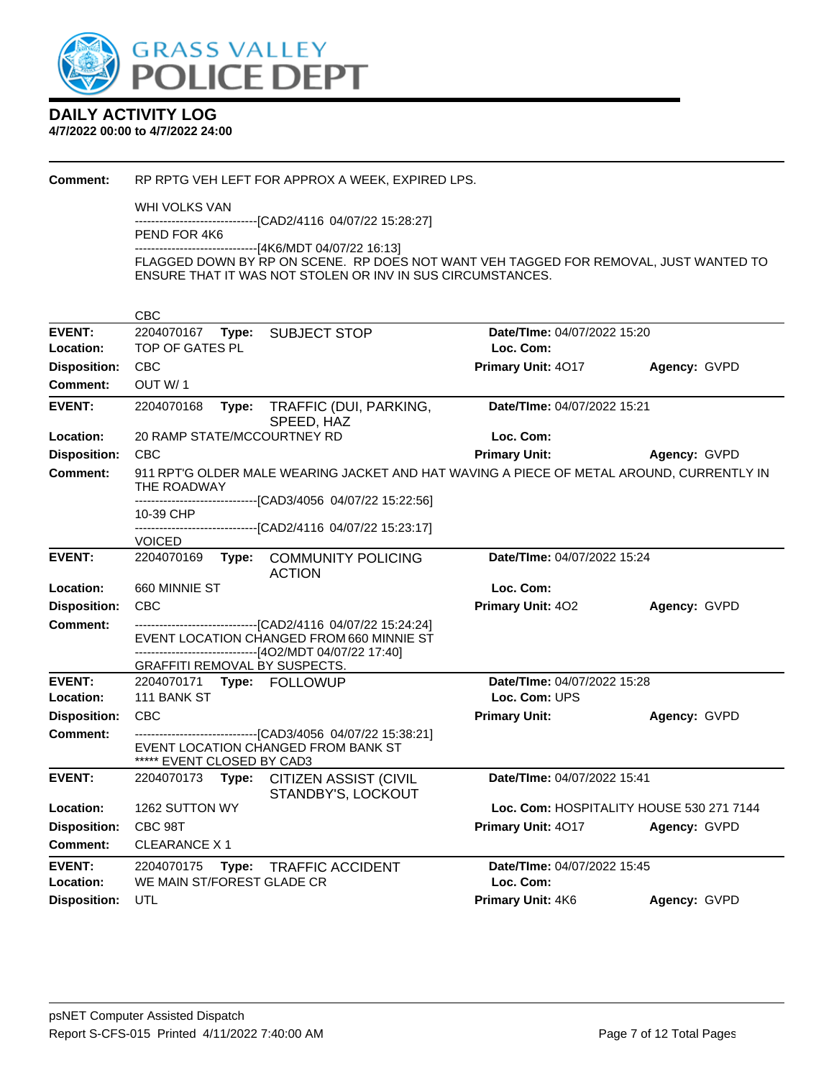

#### **4/7/2022 00:00 to 4/7/2022 24:00**

**Comment:** RP RPTG VEH LEFT FOR APPROX A WEEK, EXPIRED LPS. WHI VOLKS VAN ------------------------------[CAD2/4116 04/07/22 15:28:27] PEND FOR 4K6 ------------------------------[4K6/MDT 04/07/22 16:13] FLAGGED DOWN BY RP ON SCENE. RP DOES NOT WANT VEH TAGGED FOR REMOVAL, JUST WANTED TO ENSURE THAT IT WAS NOT STOLEN OR INV IN SUS CIRCUMSTANCES. CBC **EVENT:** 2204070167 **Type:** SUBJECT STOP **Date/TIme:** 04/07/2022 15:20 **Location:** TOP OF GATES PL **Loc. Com: Disposition:** CBC **Primary Unit:** 4O17 **Agency:** GVPD **Comment:** OUT W/ 1 **EVENT:** 2204070168 **Type:** TRAFFIC (DUI, PARKING, SPEED, HAZ **Date/TIme:** 04/07/2022 15:21 **Location:** 20 RAMP STATE/MCCOURTNEY RD **Loc. Com: Disposition:** CBC **Primary Unit: Agency:** GVPD **Comment:** 911 RPT'G OLDER MALE WEARING JACKET AND HAT WAVING A PIECE OF METAL AROUND, CURRENTLY IN THE ROADWAY ---[CAD3/4056 04/07/22 15:22:56] 10-39 CHP ------------------------------[CAD2/4116 04/07/22 15:23:17] VOICED **EVENT:** 2204070169 **Type:** COMMUNITY POLICING ACTION **Date/TIme:** 04/07/2022 15:24 **Location:** 660 MINNIE ST **Loc. Com: Disposition:** CBC **Primary Unit:** 4O2 **Agency:** GVPD **Comment:** ------------------------------[CAD2/4116 04/07/22 15:24:24] EVENT LOCATION CHANGED FROM 660 MINNIE ST ------------------------------[4O2/MDT 04/07/22 17:40] GRAFFITI REMOVAL BY SUSPECTS. **EVENT:** 2204070171 **Type:** FOLLOWUP **Date/TIme:** 04/07/2022 15:28 **Location:** 111 BANK ST **Loc. Com:** UPS **Disposition:** CBC **Primary Unit: Agency:** GVPD **Comment:** ------------------------------[CAD3/4056 04/07/22 15:38:21] EVENT LOCATION CHANGED FROM BANK ST \*\*\*\*\* EVENT CLOSED BY CAD3 **EVENT:** 2204070173 **Type:** CITIZEN ASSIST (CIVIL STANDBY'S, LOCKOUT **Date/TIme:** 04/07/2022 15:41 **Location:** 1262 SUTTON WY **Loc. Com:** HOSPITALITY HOUSE 530 271 7144 **Disposition:** CBC 98T **Primary Unit:** 4O17 **Agency:** GVPD **Comment:** CLEARANCE X 1 **EVENT:** 2204070175 **Type:** TRAFFIC ACCIDENT **Date/TIme:** 04/07/2022 15:45 **Location:** WE MAIN ST/FOREST GLADE CR **Loc. Com: Disposition:** UTL **Primary Unit:** 4K6 **Agency:** GVPD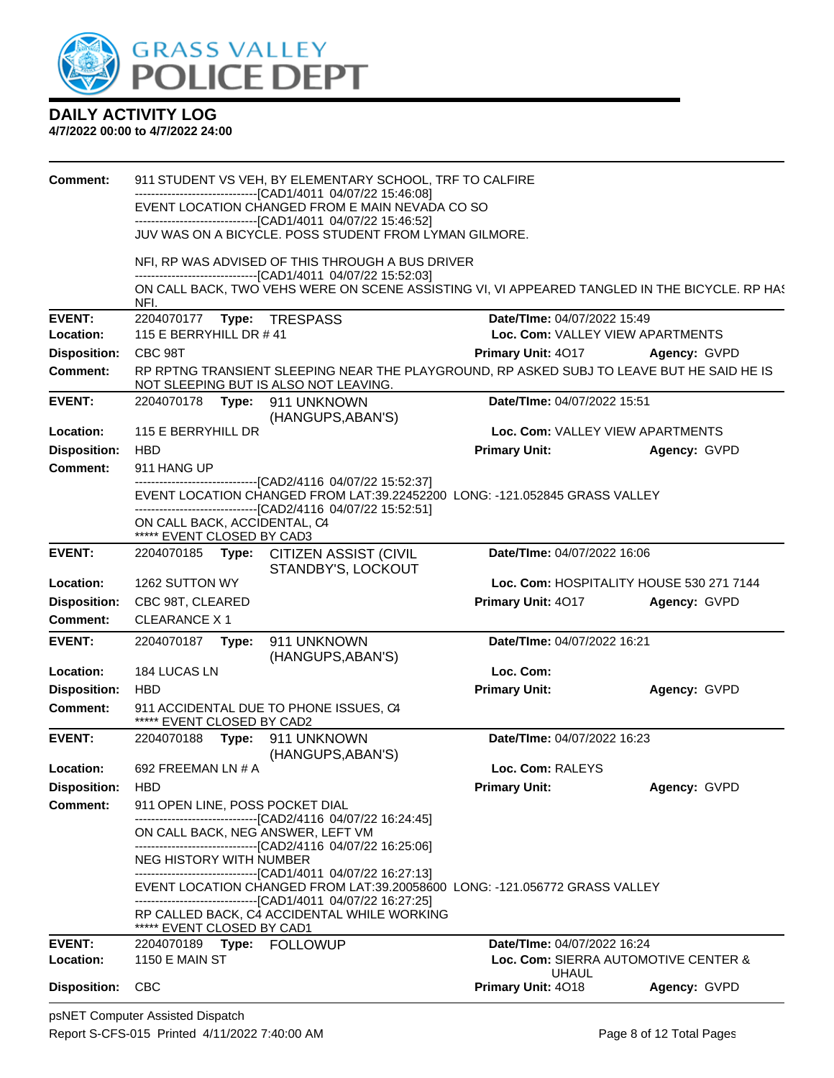

| <b>Comment:</b>     |                                                            |       | 911 STUDENT VS VEH, BY ELEMENTARY SCHOOL, TRF TO CALFIRE                                                                                                                                           |                                  |                                          |
|---------------------|------------------------------------------------------------|-------|----------------------------------------------------------------------------------------------------------------------------------------------------------------------------------------------------|----------------------------------|------------------------------------------|
|                     |                                                            |       | --------------------------------[CAD1/4011 04/07/22 15:46:08]<br>EVENT LOCATION CHANGED FROM E MAIN NEVADA CO SO                                                                                   |                                  |                                          |
|                     |                                                            |       | ----------------------------------[CAD1/4011 04/07/22 15:46:52]<br>JUV WAS ON A BICYCLE. POSS STUDENT FROM LYMAN GILMORE.                                                                          |                                  |                                          |
|                     |                                                            |       | NFI, RP WAS ADVISED OF THIS THROUGH A BUS DRIVER<br>------------------------------[CAD1/4011 04/07/22 15:52:03]                                                                                    |                                  |                                          |
|                     | NFI.                                                       |       | ON CALL BACK, TWO VEHS WERE ON SCENE ASSISTING VI, VI APPEARED TANGLED IN THE BICYCLE. RP HA!                                                                                                      |                                  |                                          |
| <b>EVENT:</b>       | 2204070177                                                 |       | Type: TRESPASS                                                                                                                                                                                     | Date/TIme: 04/07/2022 15:49      |                                          |
| Location:           | 115 E BERRYHILL DR #41<br>Loc. Com: VALLEY VIEW APARTMENTS |       |                                                                                                                                                                                                    |                                  |                                          |
| <b>Disposition:</b> | CBC 98T                                                    |       |                                                                                                                                                                                                    | Primary Unit: 4017               | Agency: GVPD                             |
| <b>Comment:</b>     |                                                            |       | RP RPTNG TRANSIENT SLEEPING NEAR THE PLAYGROUND, RP ASKED SUBJ TO LEAVE BUT HE SAID HE IS<br>NOT SLEEPING BUT IS ALSO NOT LEAVING.                                                                 |                                  |                                          |
| <b>EVENT:</b>       | 2204070178                                                 |       | Type: 911 UNKNOWN<br>(HANGUPS, ABAN'S)                                                                                                                                                             | Date/TIme: 04/07/2022 15:51      |                                          |
| Location:           | 115 E BERRYHILL DR                                         |       |                                                                                                                                                                                                    | Loc. Com: VALLEY VIEW APARTMENTS |                                          |
| <b>Disposition:</b> | <b>HBD</b>                                                 |       |                                                                                                                                                                                                    | <b>Primary Unit:</b>             | Agency: GVPD                             |
| <b>Comment:</b>     | 911 HANG UP                                                |       |                                                                                                                                                                                                    |                                  |                                          |
|                     |                                                            |       | -----------------------[CAD2/4116_04/07/22_15:52:37]<br>EVENT LOCATION CHANGED FROM LAT:39.22452200 LONG: -121.052845 GRASS VALLEY<br>-------------------------------[CAD2/4116 04/07/22 15:52:51] |                                  |                                          |
|                     | ON CALL BACK, ACCIDENTAL, C4<br>***** EVENT CLOSED BY CAD3 |       |                                                                                                                                                                                                    |                                  |                                          |
| <b>EVENT:</b>       | 2204070185                                                 |       | Type: CITIZEN ASSIST (CIVIL<br>STANDBY'S, LOCKOUT                                                                                                                                                  | Date/TIme: 04/07/2022 16:06      |                                          |
| Location:           | 1262 SUTTON WY                                             |       |                                                                                                                                                                                                    |                                  | Loc. Com: HOSPITALITY HOUSE 530 271 7144 |
| <b>Disposition:</b> | CBC 98T, CLEARED                                           |       |                                                                                                                                                                                                    | Primary Unit: 4017               | Agency: GVPD                             |
| Comment:            | <b>CLEARANCE X1</b>                                        |       |                                                                                                                                                                                                    |                                  |                                          |
| <b>EVENT:</b>       | 2204070187                                                 | Type: | 911 UNKNOWN<br>(HANGUPS, ABAN'S)                                                                                                                                                                   | Date/TIme: 04/07/2022 16:21      |                                          |
| Location:           | 184 LUCAS LN                                               |       |                                                                                                                                                                                                    | Loc. Com:                        |                                          |
| <b>Disposition:</b> | <b>HBD</b>                                                 |       |                                                                                                                                                                                                    | <b>Primary Unit:</b>             | Agency: GVPD                             |
| <b>Comment:</b>     | ***** EVENT CLOSED BY CAD2                                 |       | 911 ACCIDENTAL DUE TO PHONE ISSUES, C4                                                                                                                                                             |                                  |                                          |
| <b>EVENT:</b>       | 2204070188                                                 |       | Type: 911 UNKNOWN<br>(HANGUPS, ABAN'S)                                                                                                                                                             | Date/TIme: 04/07/2022 16:23      |                                          |
| Location:           | 692 FREEMAN LN # A                                         |       |                                                                                                                                                                                                    | Loc. Com: RALEYS                 |                                          |
| <b>Disposition:</b> | <b>HBD</b>                                                 |       |                                                                                                                                                                                                    | <b>Primary Unit:</b>             | Agency: GVPD                             |
| <b>Comment:</b>     |                                                            |       | 911 OPEN LINE, POSS POCKET DIAL<br>-------------------------------[CAD2/4116 04/07/22 16:24:45]                                                                                                    |                                  |                                          |
|                     |                                                            |       | ON CALL BACK, NEG ANSWER, LEFT VM<br>--------------------------------[CAD2/4116 04/07/22 16:25:06]                                                                                                 |                                  |                                          |
|                     | <b>NEG HISTORY WITH NUMBER</b>                             |       |                                                                                                                                                                                                    |                                  |                                          |
|                     |                                                            |       | ------------------------------[CAD1/4011 04/07/22 16:27:13]<br>EVENT LOCATION CHANGED FROM LAT:39.20058600 LONG: -121.056772 GRASS VALLEY                                                          |                                  |                                          |
|                     |                                                            |       | -------------------------------[CAD1/4011 04/07/22 16:27:25]<br>RP CALLED BACK, C4 ACCIDENTAL WHILE WORKING                                                                                        |                                  |                                          |
| <b>EVENT:</b>       | ***** EVENT CLOSED BY CAD1                                 |       |                                                                                                                                                                                                    | Date/TIme: 04/07/2022 16:24      |                                          |
| Location:           | <b>1150 E MAIN ST</b>                                      |       | 2204070189 Type: FOLLOWUP                                                                                                                                                                          | <b>UHAUL</b>                     | Loc. Com: SIERRA AUTOMOTIVE CENTER &     |
| <b>Disposition:</b> | <b>CBC</b>                                                 |       |                                                                                                                                                                                                    | Primary Unit: 4018               | Agency: GVPD                             |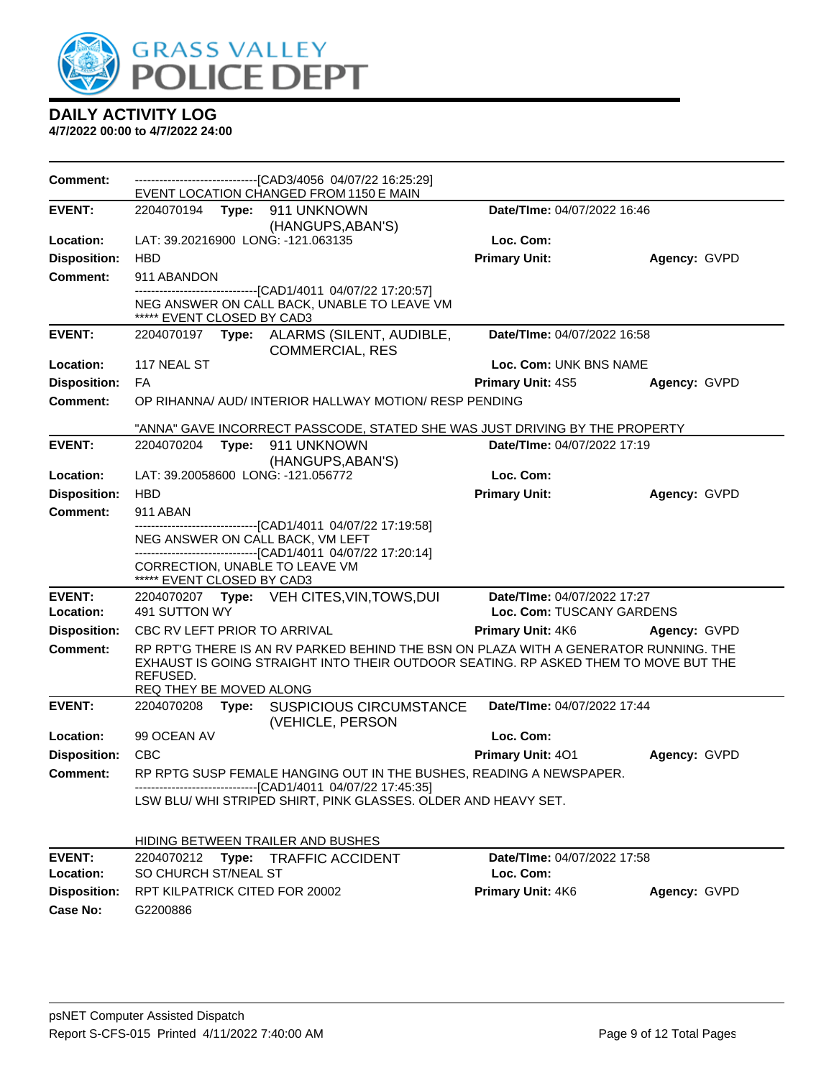

| Comment:            | -------------------------------[CAD3/4056_04/07/22_16:25:29]<br>EVENT LOCATION CHANGED FROM 1150 E MAIN                                                                                                                        |                             |              |
|---------------------|--------------------------------------------------------------------------------------------------------------------------------------------------------------------------------------------------------------------------------|-----------------------------|--------------|
| <b>EVENT:</b>       | 2204070194<br>Type: 911 UNKNOWN<br>(HANGUPS, ABAN'S)                                                                                                                                                                           | Date/TIme: 04/07/2022 16:46 |              |
| Location:           | LAT: 39.20216900 LONG: -121.063135                                                                                                                                                                                             | Loc. Com:                   |              |
| <b>Disposition:</b> | <b>HBD</b>                                                                                                                                                                                                                     | <b>Primary Unit:</b>        | Agency: GVPD |
| <b>Comment:</b>     | 911 ABANDON                                                                                                                                                                                                                    |                             |              |
|                     | ------------------------------[CAD1/4011 04/07/22 17:20:57]<br>NEG ANSWER ON CALL BACK, UNABLE TO LEAVE VM<br>***** EVENT CLOSED BY CAD3                                                                                       |                             |              |
| <b>EVENT:</b>       | 2204070197 Type: ALARMS (SILENT, AUDIBLE,<br><b>COMMERCIAL, RES</b>                                                                                                                                                            | Date/TIme: 04/07/2022 16:58 |              |
| Location:           | 117 NEAL ST                                                                                                                                                                                                                    | Loc. Com: UNK BNS NAME      |              |
| <b>Disposition:</b> | <b>FA</b>                                                                                                                                                                                                                      | <b>Primary Unit: 4S5</b>    | Agency: GVPD |
| Comment:            | OP RIHANNA/ AUD/ INTERIOR HALLWAY MOTION/ RESP PENDING                                                                                                                                                                         |                             |              |
|                     | "ANNA" GAVE INCORRECT PASSCODE, STATED SHE WAS JUST DRIVING BY THE PROPERTY                                                                                                                                                    |                             |              |
| <b>EVENT:</b>       | 2204070204<br>Type: 911 UNKNOWN<br>(HANGUPS, ABAN'S)                                                                                                                                                                           | Date/TIme: 04/07/2022 17:19 |              |
| Location:           | LAT: 39.20058600 LONG: -121.056772                                                                                                                                                                                             | Loc. Com:                   |              |
| <b>Disposition:</b> | <b>HBD</b>                                                                                                                                                                                                                     | <b>Primary Unit:</b>        | Agency: GVPD |
| <b>Comment:</b>     | 911 ABAN                                                                                                                                                                                                                       |                             |              |
|                     | --------------------------[CAD1/4011 04/07/22 17:19:58]<br>NEG ANSWER ON CALL BACK, VM LEFT<br>----------------------------------[CAD1/4011 04/07/22 17:20:14]<br>CORRECTION, UNABLE TO LEAVE VM<br>***** EVENT CLOSED BY CAD3 |                             |              |
| <b>EVENT:</b>       | 2204070207 Type: VEH CITES, VIN, TOWS, DUI                                                                                                                                                                                     | Date/TIme: 04/07/2022 17:27 |              |
| Location:           | 491 SUTTON WY                                                                                                                                                                                                                  | Loc. Com: TUSCANY GARDENS   |              |
| <b>Disposition:</b> | CBC RV LEFT PRIOR TO ARRIVAL                                                                                                                                                                                                   | Primary Unit: 4K6           | Agency: GVPD |
| <b>Comment:</b>     | RP RPT'G THERE IS AN RV PARKED BEHIND THE BSN ON PLAZA WITH A GENERATOR RUNNING. THE<br>EXHAUST IS GOING STRAIGHT INTO THEIR OUTDOOR SEATING. RP ASKED THEM TO MOVE BUT THE<br>REFUSED.<br>REQ THEY BE MOVED ALONG             |                             |              |
| <b>EVENT:</b>       | <b>SUSPICIOUS CIRCUMSTANCE</b><br>2204070208<br>Type:<br>(VEHICLE, PERSON                                                                                                                                                      | Date/TIme: 04/07/2022 17:44 |              |
| Location:           | 99 OCEAN AV                                                                                                                                                                                                                    | Loc. Com:                   |              |
| <b>Disposition:</b> | <b>CBC</b>                                                                                                                                                                                                                     | <b>Primary Unit: 401</b>    | Agency: GVPD |
| Comment:            | RP RPTG SUSP FEMALE HANGING OUT IN THE BUSHES, READING A NEWSPAPER.                                                                                                                                                            |                             |              |
|                     | ------------------------------[CAD1/4011 04/07/22 17:45:35]<br>LSW BLU/ WHI STRIPED SHIRT, PINK GLASSES. OLDER AND HEAVY SET.                                                                                                  |                             |              |
|                     | HIDING BETWEEN TRAILER AND BUSHES                                                                                                                                                                                              |                             |              |
| <b>EVENT:</b>       | 2204070212<br>Type:<br><b>TRAFFIC ACCIDENT</b>                                                                                                                                                                                 | Date/TIme: 04/07/2022 17:58 |              |
| Location:           | SO CHURCH ST/NEAL ST                                                                                                                                                                                                           | Loc. Com:                   |              |
| <b>Disposition:</b> | RPT KILPATRICK CITED FOR 20002                                                                                                                                                                                                 | Primary Unit: 4K6           | Agency: GVPD |
| <b>Case No:</b>     | G2200886                                                                                                                                                                                                                       |                             |              |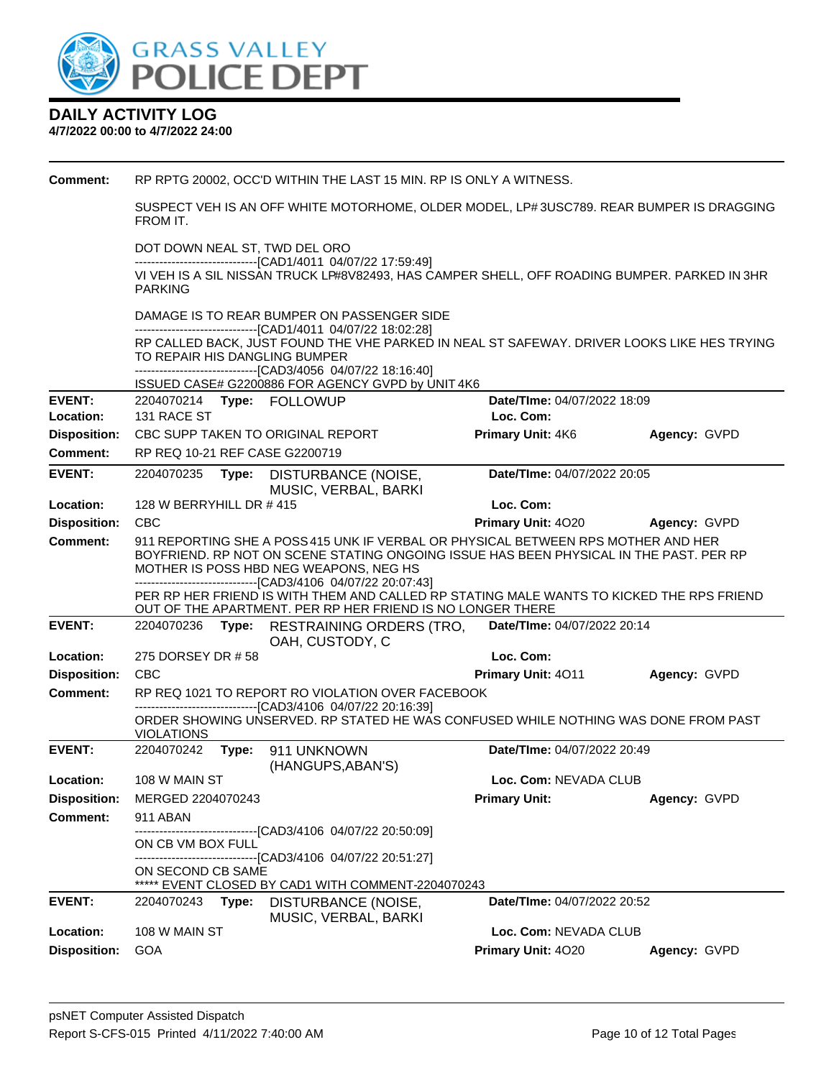

| <b>Comment:</b>            |                                          | RP RPTG 20002, OCC'D WITHIN THE LAST 15 MIN. RP IS ONLY A WITNESS.                                                                                                                                                                                                                                                                                                                |                                          |              |  |  |  |
|----------------------------|------------------------------------------|-----------------------------------------------------------------------------------------------------------------------------------------------------------------------------------------------------------------------------------------------------------------------------------------------------------------------------------------------------------------------------------|------------------------------------------|--------------|--|--|--|
|                            | FROM IT.                                 | SUSPECT VEH IS AN OFF WHITE MOTORHOME, OLDER MODEL, LP#3USC789. REAR BUMPER IS DRAGGING                                                                                                                                                                                                                                                                                           |                                          |              |  |  |  |
|                            | DOT DOWN NEAL ST, TWD DEL ORO            | --------------------------------[CAD1/4011 04/07/22 17:59:49]<br>VI VEH IS A SIL NISSAN TRUCK LP#8V82493, HAS CAMPER SHELL, OFF ROADING BUMPER. PARKED IN 3HR                                                                                                                                                                                                                     |                                          |              |  |  |  |
|                            | <b>PARKING</b>                           |                                                                                                                                                                                                                                                                                                                                                                                   |                                          |              |  |  |  |
|                            |                                          | DAMAGE IS TO REAR BUMPER ON PASSENGER SIDE<br>-------------------------------[CAD1/4011 04/07/22 18:02:28]                                                                                                                                                                                                                                                                        |                                          |              |  |  |  |
|                            | TO REPAIR HIS DANGLING BUMPER            | RP CALLED BACK, JUST FOUND THE VHE PARKED IN NEAL ST SAFEWAY. DRIVER LOOKS LIKE HES TRYING<br>-------------------------------[CAD3/4056 04/07/22 18:16:40]                                                                                                                                                                                                                        |                                          |              |  |  |  |
|                            |                                          | ISSUED CASE# G2200886 FOR AGENCY GVPD by UNIT 4K6                                                                                                                                                                                                                                                                                                                                 |                                          |              |  |  |  |
| <b>EVENT:</b><br>Location: | 2204070214 Type: FOLLOWUP<br>131 RACE ST |                                                                                                                                                                                                                                                                                                                                                                                   | Date/TIme: 04/07/2022 18:09<br>Loc. Com: |              |  |  |  |
| <b>Disposition:</b>        | CBC SUPP TAKEN TO ORIGINAL REPORT        |                                                                                                                                                                                                                                                                                                                                                                                   | <b>Primary Unit: 4K6</b>                 | Agency: GVPD |  |  |  |
| <b>Comment:</b>            | RP REQ 10-21 REF CASE G2200719           |                                                                                                                                                                                                                                                                                                                                                                                   |                                          |              |  |  |  |
| <b>EVENT:</b>              | 2204070235                               | Type: DISTURBANCE (NOISE,<br>MUSIC, VERBAL, BARKI                                                                                                                                                                                                                                                                                                                                 | Date/TIme: 04/07/2022 20:05              |              |  |  |  |
| Location:                  | 128 W BERRYHILL DR #415                  |                                                                                                                                                                                                                                                                                                                                                                                   | Loc. Com:                                |              |  |  |  |
| <b>Disposition:</b>        | <b>CBC</b>                               |                                                                                                                                                                                                                                                                                                                                                                                   | Primary Unit: 4020                       | Agency: GVPD |  |  |  |
| Comment:                   |                                          | 911 REPORTING SHE A POSS 415 UNK IF VERBAL OR PHYSICAL BETWEEN RPS MOTHER AND HER<br>BOYFRIEND. RP NOT ON SCENE STATING ONGOING ISSUE HAS BEEN PHYSICAL IN THE PAST. PER RP<br>MOTHER IS POSS HBD NEG WEAPONS, NEG HS<br>-------------------------------[CAD3/4106 04/07/22 20:07:43]<br>PER RP HER FRIEND IS WITH THEM AND CALLED RP STATING MALE WANTS TO KICKED THE RPS FRIEND |                                          |              |  |  |  |
|                            |                                          | OUT OF THE APARTMENT. PER RP HER FRIEND IS NO LONGER THERE                                                                                                                                                                                                                                                                                                                        |                                          |              |  |  |  |
| <b>EVENT:</b>              |                                          | 2204070236 Type: RESTRAINING ORDERS (TRO,<br>OAH, CUSTODY, C                                                                                                                                                                                                                                                                                                                      | Date/TIme: 04/07/2022 20:14              |              |  |  |  |
| Location:                  | 275 DORSEY DR #58                        |                                                                                                                                                                                                                                                                                                                                                                                   | Loc. Com:                                |              |  |  |  |
| <b>Disposition:</b>        | CBC                                      |                                                                                                                                                                                                                                                                                                                                                                                   | Primary Unit: 4011                       | Agency: GVPD |  |  |  |
| <b>Comment:</b>            |                                          | RP REQ 1021 TO REPORT RO VIOLATION OVER FACEBOOK                                                                                                                                                                                                                                                                                                                                  |                                          |              |  |  |  |
|                            | <b>VIOLATIONS</b>                        | -------------------------------[CAD3/4106 04/07/22 20:16:39]<br>ORDER SHOWING UNSERVED. RP STATED HE WAS CONFUSED WHILE NOTHING WAS DONE FROM PAST                                                                                                                                                                                                                                |                                          |              |  |  |  |
| <b>EVENT:</b>              | 2204070242 Type: 911 UNKNOWN             |                                                                                                                                                                                                                                                                                                                                                                                   | Date/TIme: 04/07/2022 20:49              |              |  |  |  |
| <b>Location:</b>           | 108 W MAIN ST                            | (HANGUPS, ABAN'S)                                                                                                                                                                                                                                                                                                                                                                 | Loc. Com: NEVADA CLUB                    |              |  |  |  |
| <b>Disposition:</b>        | MERGED 2204070243                        |                                                                                                                                                                                                                                                                                                                                                                                   | <b>Primary Unit:</b>                     | Agency: GVPD |  |  |  |
| <b>Comment:</b>            | 911 ABAN                                 |                                                                                                                                                                                                                                                                                                                                                                                   |                                          |              |  |  |  |
|                            |                                          | -------------------------------[CAD3/4106 04/07/22 20:50:09]                                                                                                                                                                                                                                                                                                                      |                                          |              |  |  |  |
|                            | ON CB VM BOX FULL                        | -------------------------------[CAD3/4106 04/07/22 20:51:27]                                                                                                                                                                                                                                                                                                                      |                                          |              |  |  |  |
|                            | ON SECOND CB SAME                        | ***** EVENT CLOSED BY CAD1 WITH COMMENT-2204070243                                                                                                                                                                                                                                                                                                                                |                                          |              |  |  |  |
| <b>EVENT:</b>              | 2204070243 <b>Type:</b>                  | DISTURBANCE (NOISE,<br>MUSIC, VERBAL, BARKI                                                                                                                                                                                                                                                                                                                                       | Date/TIme: 04/07/2022 20:52              |              |  |  |  |
| Location:                  | 108 W MAIN ST                            |                                                                                                                                                                                                                                                                                                                                                                                   | Loc. Com: NEVADA CLUB                    |              |  |  |  |
| <b>Disposition:</b>        | <b>GOA</b>                               |                                                                                                                                                                                                                                                                                                                                                                                   | Primary Unit: 4020                       | Agency: GVPD |  |  |  |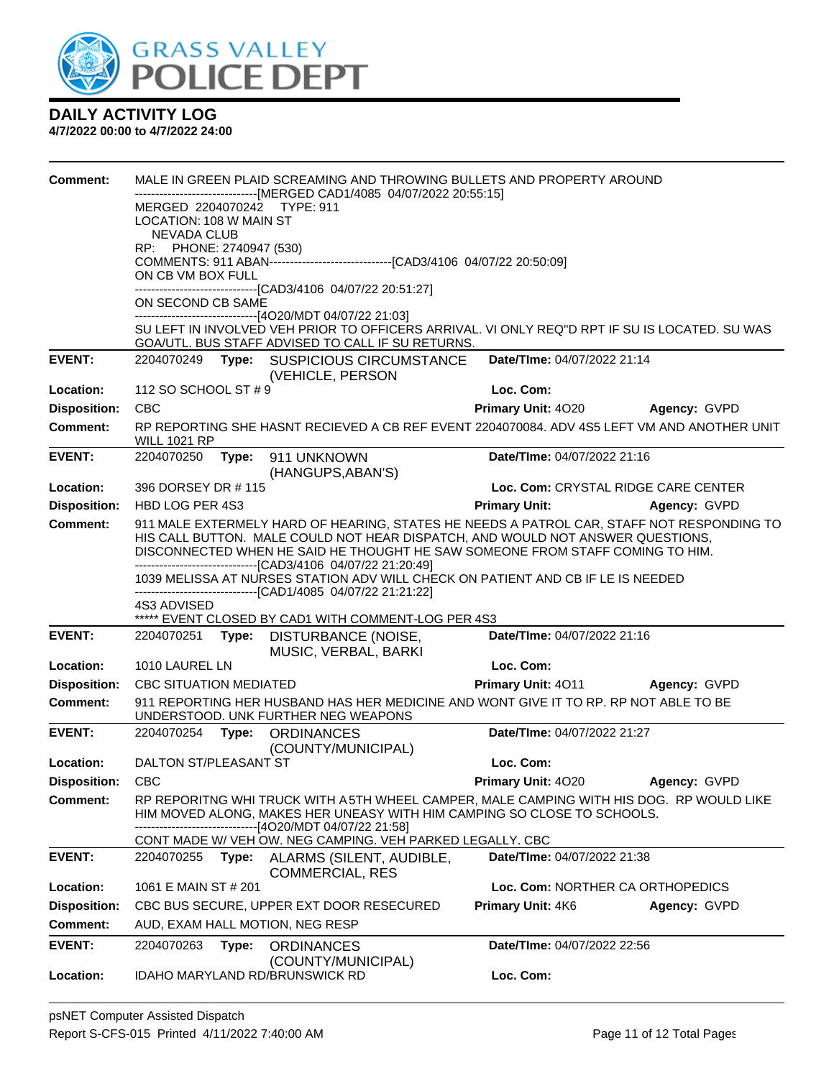

| <b>Comment:</b>     | MALE IN GREEN PLAID SCREAMING AND THROWING BULLETS AND PROPERTY AROUND                                                                                                                                                         |                                                                                             |
|---------------------|--------------------------------------------------------------------------------------------------------------------------------------------------------------------------------------------------------------------------------|---------------------------------------------------------------------------------------------|
|                     | ----------------------[MERGED CAD1/4085 04/07/2022 20:55:15]<br>MERGED 2204070242 TYPE: 911                                                                                                                                    |                                                                                             |
|                     | LOCATION: 108 W MAIN ST                                                                                                                                                                                                        |                                                                                             |
|                     | <b>NEVADA CLUB</b><br>RP: PHONE: 2740947 (530)                                                                                                                                                                                 |                                                                                             |
|                     |                                                                                                                                                                                                                                |                                                                                             |
|                     | ON CB VM BOX FULL                                                                                                                                                                                                              |                                                                                             |
|                     | -------------------------------[CAD3/4106 04/07/22 20:51:27]<br>ON SECOND CB SAME                                                                                                                                              |                                                                                             |
|                     | --------------------------------[4O20/MDT 04/07/22 21:03]                                                                                                                                                                      |                                                                                             |
|                     | SU LEFT IN INVOLVED VEH PRIOR TO OFFICERS ARRIVAL. VI ONLY REQ"D RPT IF SU IS LOCATED. SU WAS<br>GOA/UTL. BUS STAFF ADVISED TO CALL IF SU RETURNS.                                                                             |                                                                                             |
| <b>EVENT:</b>       | 2204070249 Type: SUSPICIOUS CIRCUMSTANCE<br>(VEHICLE, PERSON                                                                                                                                                                   | Date/TIme: 04/07/2022 21:14                                                                 |
| Location:           | 112 SO SCHOOL ST # 9                                                                                                                                                                                                           | Loc. Com:                                                                                   |
| <b>Disposition:</b> | <b>CBC</b>                                                                                                                                                                                                                     | <b>Primary Unit: 4020</b><br><b>Agency: GVPD</b>                                            |
| <b>Comment:</b>     | <b>WILL 1021 RP</b>                                                                                                                                                                                                            | RP REPORTING SHE HASNT RECIEVED A CB REF EVENT 2204070084. ADV 4S5 LEFT VM AND ANOTHER UNIT |
| <b>EVENT:</b>       | 2204070250<br>Type: 911 UNKNOWN<br>(HANGUPS, ABAN'S)                                                                                                                                                                           | Date/TIme: 04/07/2022 21:16                                                                 |
| Location:           | 396 DORSEY DR #115                                                                                                                                                                                                             | Loc. Com: CRYSTAL RIDGE CARE CENTER                                                         |
| <b>Disposition:</b> | HBD LOG PER 4S3                                                                                                                                                                                                                | <b>Primary Unit:</b><br>Agency: GVPD                                                        |
| <b>Comment:</b>     |                                                                                                                                                                                                                                | 911 MALE EXTERMELY HARD OF HEARING, STATES HE NEEDS A PATROL CAR, STAFF NOT RESPONDING TO   |
|                     | HIS CALL BUTTON. MALE COULD NOT HEAR DISPATCH, AND WOULD NOT ANSWER QUESTIONS,<br>DISCONNECTED WHEN HE SAID HE THOUGHT HE SAW SOMEONE FROM STAFF COMING TO HIM.                                                                |                                                                                             |
|                     | -------------------------------[CAD3/4106 04/07/22 21:20:49]                                                                                                                                                                   |                                                                                             |
|                     | 1039 MELISSA AT NURSES STATION ADV WILL CHECK ON PATIENT AND CB IF LE IS NEEDED<br>--------------------------------[CAD1/4085 04/07/22 21:21:22]                                                                               |                                                                                             |
|                     | 4S3 ADVISED                                                                                                                                                                                                                    |                                                                                             |
|                     | ***** EVENT CLOSED BY CAD1 WITH COMMENT-LOG PER 4S3                                                                                                                                                                            |                                                                                             |
| <b>EVENT:</b>       | 2204070251<br>Type: DISTURBANCE (NOISE,<br>MUSIC, VERBAL, BARKI                                                                                                                                                                | Date/TIme: 04/07/2022 21:16                                                                 |
| Location:           | 1010 LAUREL LN                                                                                                                                                                                                                 | Loc. Com:                                                                                   |
| <b>Disposition:</b> | <b>CBC SITUATION MEDIATED</b>                                                                                                                                                                                                  | Primary Unit: 4011<br>Agency: GVPD                                                          |
| <b>Comment:</b>     | 911 REPORTING HER HUSBAND HAS HER MEDICINE AND WONT GIVE IT TO RP. RP NOT ABLE TO BE<br>UNDERSTOOD. UNK FURTHER NEG WEAPONS                                                                                                    |                                                                                             |
| <b>EVENT:</b>       | 2204070254 Type: ORDINANCES<br>(COUNTY/MUNICIPAL)                                                                                                                                                                              | Date/TIme: 04/07/2022 21:27                                                                 |
| Location:           | DALTON ST/PLEASANT ST                                                                                                                                                                                                          | Loc. Com:                                                                                   |
| Disposition: CBC    |                                                                                                                                                                                                                                | Primary Unit: 4020 Agency: GVPD                                                             |
| Comment:            | RP REPORITNG WHI TRUCK WITH A 5TH WHEEL CAMPER, MALE CAMPING WITH HIS DOG. RP WOULD LIKE<br>HIM MOVED ALONG, MAKES HER UNEASY WITH HIM CAMPING SO CLOSE TO SCHOOLS.<br>------------------------------[4O20/MDT 04/07/22 21:58] |                                                                                             |
|                     | CONT MADE W/ VEH OW. NEG CAMPING. VEH PARKED LEGALLY. CBC                                                                                                                                                                      |                                                                                             |
| <b>EVENT:</b>       | 2204070255<br>Type:<br>ALARMS (SILENT, AUDIBLE,<br><b>COMMERCIAL, RES</b>                                                                                                                                                      | Date/TIme: 04/07/2022 21:38                                                                 |
| Location:           | 1061 E MAIN ST # 201                                                                                                                                                                                                           | Loc. Com: NORTHER CA ORTHOPEDICS                                                            |
| <b>Disposition:</b> | CBC BUS SECURE, UPPER EXT DOOR RESECURED                                                                                                                                                                                       | Primary Unit: 4K6<br>Agency: GVPD                                                           |
| <b>Comment:</b>     | AUD. EXAM HALL MOTION, NEG RESP                                                                                                                                                                                                |                                                                                             |
| <b>EVENT:</b>       | 2204070263<br>Type:<br><b>ORDINANCES</b>                                                                                                                                                                                       | <b>Date/TIme: 04/07/2022 22:56</b>                                                          |
| Location:           | (COUNTY/MUNICIPAL)<br><b>IDAHO MARYLAND RD/BRUNSWICK RD</b>                                                                                                                                                                    | Loc. Com:                                                                                   |